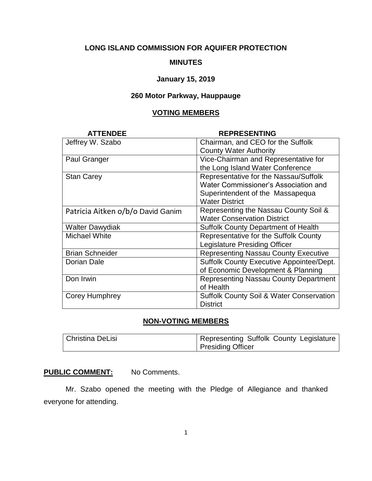# **LONG ISLAND COMMISSION FOR AQUIFER PROTECTION**

### **MINUTES**

#### **January 15, 2019**

# **260 Motor Parkway, Hauppauge**

### **VOTING MEMBERS**

| <b>ATTENDEE</b>                   | <b>REPRESENTING</b>                                 |
|-----------------------------------|-----------------------------------------------------|
| Jeffrey W. Szabo                  | Chairman, and CEO for the Suffolk                   |
|                                   | <b>County Water Authority</b>                       |
| Paul Granger                      | Vice-Chairman and Representative for                |
|                                   | the Long Island Water Conference                    |
| <b>Stan Carey</b>                 | Representative for the Nassau/Suffolk               |
|                                   | Water Commissioner's Association and                |
|                                   | Superintendent of the Massapequa                    |
|                                   | <b>Water District</b>                               |
| Patricia Aitken o/b/o David Ganim | Representing the Nassau County Soil &               |
|                                   | <b>Water Conservation District</b>                  |
| <b>Walter Dawydiak</b>            | <b>Suffolk County Department of Health</b>          |
| <b>Michael White</b>              | Representative for the Suffolk County               |
|                                   | <b>Legislature Presiding Officer</b>                |
| <b>Brian Schneider</b>            | <b>Representing Nassau County Executive</b>         |
| Dorian Dale                       | Suffolk County Executive Appointee/Dept.            |
|                                   | of Economic Development & Planning                  |
| Don Irwin                         | <b>Representing Nassau County Department</b>        |
|                                   | of Health                                           |
| Corey Humphrey                    | <b>Suffolk County Soil &amp; Water Conservation</b> |
|                                   | <b>District</b>                                     |

## **NON-VOTING MEMBERS**

| Christina DeLisi | Representing Suffolk County Legislature |
|------------------|-----------------------------------------|
|                  | Presiding Officer                       |

## **PUBLIC COMMENT:** No Comments.

Mr. Szabo opened the meeting with the Pledge of Allegiance and thanked everyone for attending.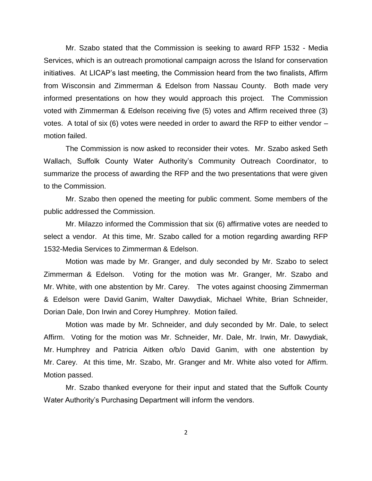Mr. Szabo stated that the Commission is seeking to award RFP 1532 - Media Services, which is an outreach promotional campaign across the Island for conservation initiatives. At LICAP's last meeting, the Commission heard from the two finalists, Affirm from Wisconsin and Zimmerman & Edelson from Nassau County. Both made very informed presentations on how they would approach this project. The Commission voted with Zimmerman & Edelson receiving five (5) votes and Affirm received three (3) votes. A total of six (6) votes were needed in order to award the RFP to either vendor – motion failed.

The Commission is now asked to reconsider their votes. Mr. Szabo asked Seth Wallach, Suffolk County Water Authority's Community Outreach Coordinator, to summarize the process of awarding the RFP and the two presentations that were given to the Commission.

Mr. Szabo then opened the meeting for public comment. Some members of the public addressed the Commission.

Mr. Milazzo informed the Commission that six (6) affirmative votes are needed to select a vendor. At this time, Mr. Szabo called for a motion regarding awarding RFP 1532-Media Services to Zimmerman & Edelson.

Motion was made by Mr. Granger, and duly seconded by Mr. Szabo to select Zimmerman & Edelson. Voting for the motion was Mr. Granger, Mr. Szabo and Mr. White, with one abstention by Mr. Carey. The votes against choosing Zimmerman & Edelson were David Ganim, Walter Dawydiak, Michael White, Brian Schneider, Dorian Dale, Don Irwin and Corey Humphrey. Motion failed.

Motion was made by Mr. Schneider, and duly seconded by Mr. Dale, to select Affirm. Voting for the motion was Mr. Schneider, Mr. Dale, Mr. Irwin, Mr. Dawydiak, Mr. Humphrey and Patricia Aitken o/b/o David Ganim, with one abstention by Mr. Carey. At this time, Mr. Szabo, Mr. Granger and Mr. White also voted for Affirm. Motion passed.

Mr. Szabo thanked everyone for their input and stated that the Suffolk County Water Authority's Purchasing Department will inform the vendors.

2